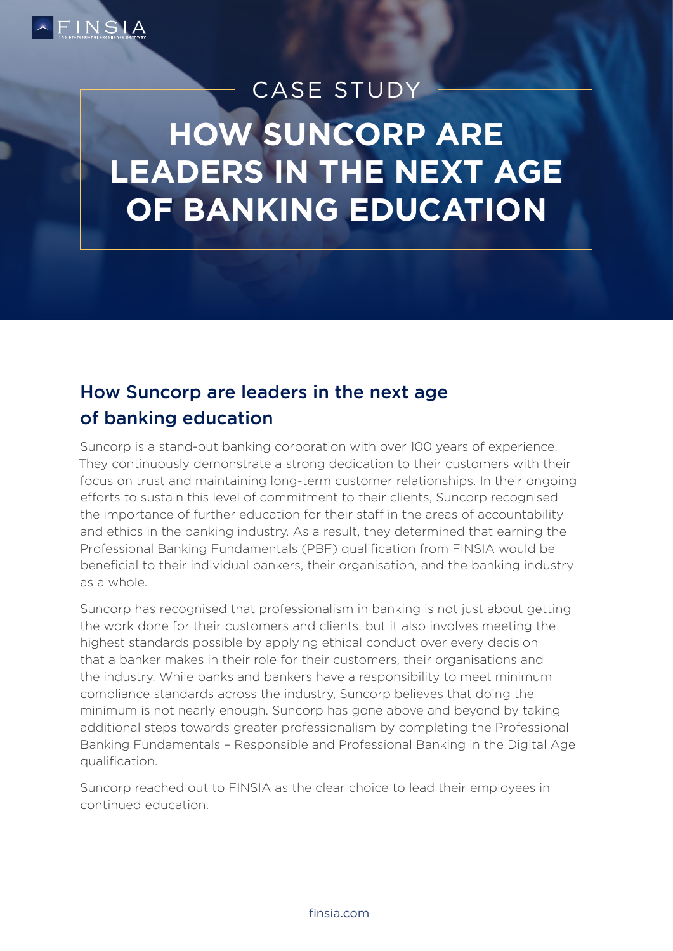

# **HOW SUNCORP ARE LEADERS IN THE NEXT AGE OF BANKING EDUCATION** CASE STUDY

# How Suncorp are leaders in the next age of banking education

Suncorp is a stand-out banking corporation with over 100 years of experience. They continuously demonstrate a strong dedication to their customers with their focus on trust and maintaining long-term customer relationships. In their ongoing efforts to sustain this level of commitment to their clients, Suncorp recognised the importance of further education for their staff in the areas of accountability and ethics in the banking industry. As a result, they determined that earning the Professional Banking Fundamentals (PBF) qualification from FINSIA would be beneficial to their individual bankers, their organisation, and the banking industry as a whole.

Suncorp has recognised that professionalism in banking is not just about getting the work done for their customers and clients, but it also involves meeting the highest standards possible by applying ethical conduct over every decision that a banker makes in their role for their customers, their organisations and the industry. While banks and bankers have a responsibility to meet minimum compliance standards across the industry, Suncorp believes that doing the minimum is not nearly enough. Suncorp has gone above and beyond by taking additional steps towards greater professionalism by completing the Professional Banking Fundamentals – Responsible and Professional Banking in the Digital Age qualification.

Suncorp reached out to FINSIA as the clear choice to lead their employees in continued education.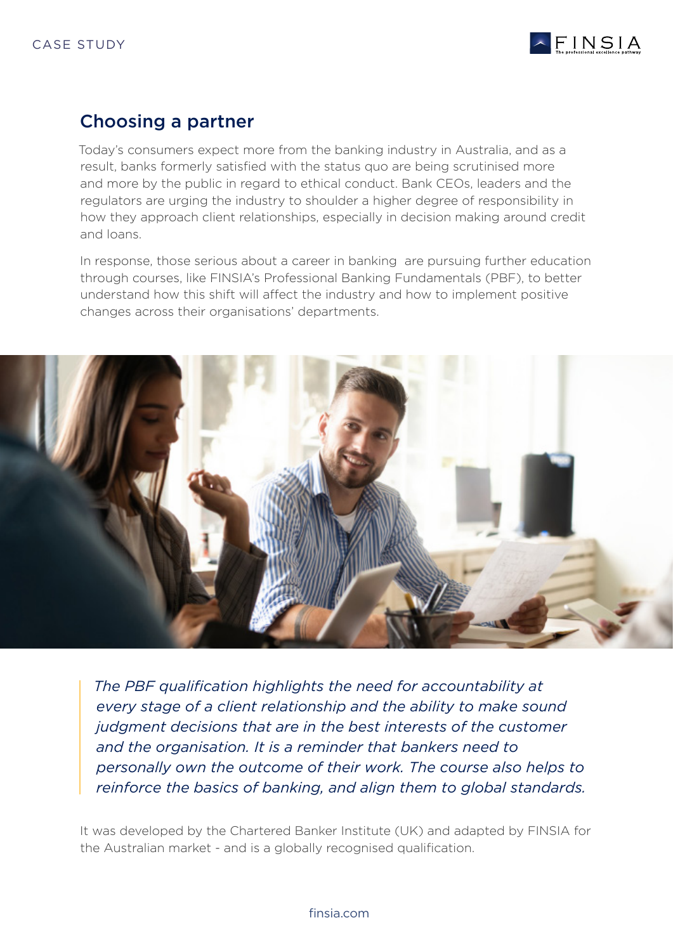

### Choosing a partner

Today's consumers expect more from the banking industry in Australia, and as a result, banks formerly satisfied with the status quo are being scrutinised more and more by the public in regard to ethical conduct. Bank CEOs, leaders and the regulators are urging the industry to shoulder a higher degree of responsibility in how they approach client relationships, especially in decision making around credit and loans.

In response, those serious about a career in banking are pursuing further education through courses, like FINSIA's Professional Banking Fundamentals (PBF), to better understand how this shift will affect the industry and how to implement positive changes across their organisations' departments.



*The PBF qualification highlights the need for accountability at every stage of a client relationship and the ability to make sound judgment decisions that are in the best interests of the customer and the organisation. It is a reminder that bankers need to personally own the outcome of their work. The course also helps to reinforce the basics of banking, and align them to global standards.* 

It was developed by the Chartered Banker Institute (UK) and adapted by FINSIA for the Australian market - and is a globally recognised qualification.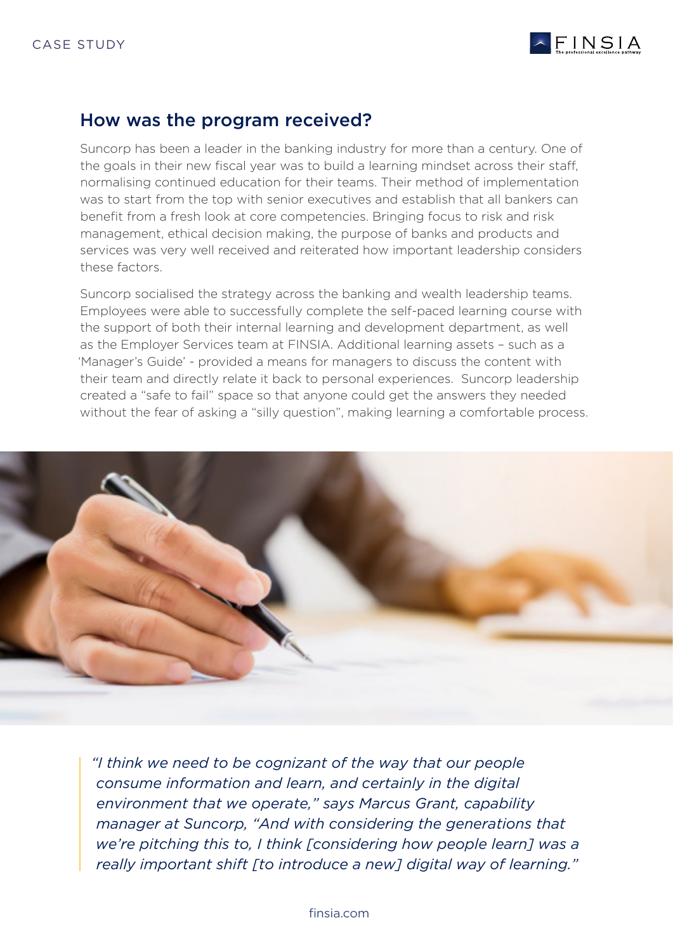

### How was the program received?

Suncorp has been a leader in the banking industry for more than a century. One of the goals in their new fiscal year was to build a learning mindset across their staff, normalising continued education for their teams. Their method of implementation was to start from the top with senior executives and establish that all bankers can benefit from a fresh look at core competencies. Bringing focus to risk and risk management, ethical decision making, the purpose of banks and products and services was very well received and reiterated how important leadership considers these factors.

Suncorp socialised the strategy across the banking and wealth leadership teams. Employees were able to successfully complete the self-paced learning course with the support of both their internal learning and development department, as well as the Employer Services team at FINSIA. Additional learning assets – such as a 'Manager's Guide' - provided a means for managers to discuss the content with their team and directly relate it back to personal experiences. Suncorp leadership created a "safe to fail" space so that anyone could get the answers they needed without the fear of asking a "silly question", making learning a comfortable process.



*"I think we need to be cognizant of the way that our people consume information and learn, and certainly in the digital environment that we operate," says Marcus Grant, capability manager at Suncorp, "And with considering the generations that we're pitching this to, I think [considering how people learn] was a really important shift [to introduce a new] digital way of learning."*